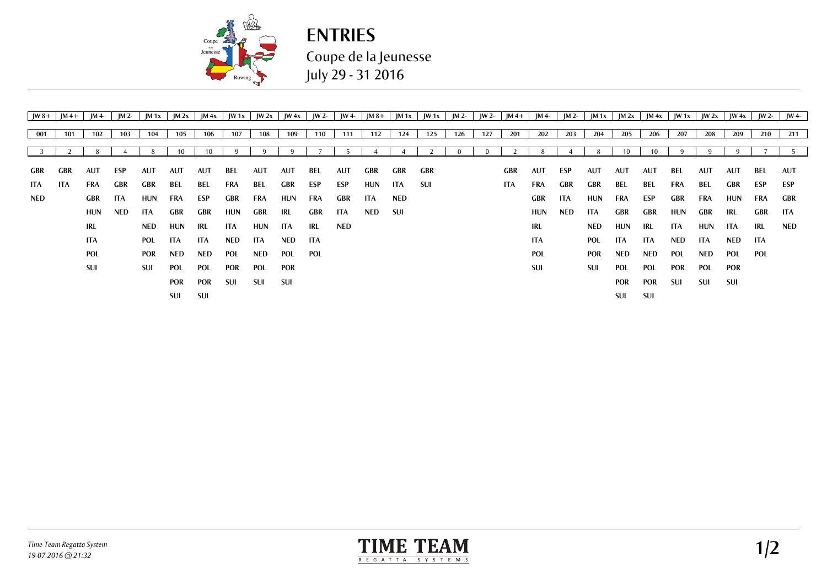

**ENTRIES** Coupe de la Jeunesse July 29 - 31 2016

| $\mathsf{IW}\,8+$ | $ M4+ $    | IM 4-      | JM 2-      | $ M_1x $   | M 2x | $\mathbf{M}$ 4x $\mathbf{M}$ | W1x |            | $JW 2x$ $JW 4x$ | JW 2- $\vert$ | JW 4-      |            |     | $JM8+$   JM 1x   JW 1x   JM 2- |     |     | JW 2- JM 4+ JM 4- |            | JM 2- |            | $ M1x $ $ M2x $ | $\mathbf{M}$ 4x $\mathbf{M}$ |     | $ W1x $ $ W2x $ $ W4x $ |            | $\mathsf{IW}$ 2- | $IW4-$ |
|-------------------|------------|------------|------------|------------|------|------------------------------|-----|------------|-----------------|---------------|------------|------------|-----|--------------------------------|-----|-----|-------------------|------------|-------|------------|-----------------|------------------------------|-----|-------------------------|------------|------------------|--------|
|                   |            |            |            |            |      |                              |     |            |                 |               |            |            |     |                                |     |     |                   |            |       |            |                 |                              |     |                         |            |                  |        |
| 001               | 101        | 102        | 103        | 104        | 105  | 106                          | 107 | 108        | 109             | 110           | 111        | 112        | 124 | 125                            | 126 | 127 | 201               | 202        | 203   | 204        | 205             | 206                          | 207 | 208                     | 209        | 210              | 211    |
|                   |            |            |            |            |      |                              |     |            |                 |               |            |            |     |                                |     |     |                   |            |       |            |                 | 10                           |     |                         |            |                  |        |
|                   |            |            |            |            |      |                              |     |            |                 |               |            |            |     |                                |     |     |                   |            |       |            |                 |                              |     |                         |            |                  |        |
| GBR               | GBR        | <b>AUT</b> | ESP        | <b>AUT</b> | AUT  | AUT                          | BEL | AUT        | AUT             | BEL           | AUT        | GBR        | GBR | GBR                            |     |     | GBR               | AUT        | ESP   | <b>AUT</b> | AUT             | AUT                          | BEL | AUT                     | AUT        | BEL              | AUT    |
| ITA.              | <b>ITA</b> | FRA        | GBR        | GBR        | BEL  | BEL                          | FRA | BEL        | GBR             | ESP           | ESP        | HUN        | ITA | -SUI                           |     |     | ITA.              | <b>FRA</b> | GBR   | GBR        | BEL             | BEL                          | FRA | BEL                     | GBR        | ESP              | ESP    |
| NED.              |            | GBR        | ITA        | HUN        | FRA  | ESP                          | GBR | FRA        | HUN             | FRA           | GBR        | ITA        | NED |                                |     |     |                   | <b>GBR</b> | ITA   | <b>HUN</b> | FRA             | ESP                          | GBR | FRA                     | HUN        | FRA              | GBR    |
|                   |            | HUN        | <b>NED</b> | ITA.       | GBR  | GBR                          | HUN | GBR        | IRL             | GBR           | <b>ITA</b> | <b>NED</b> | SUI |                                |     |     |                   | HUN        | NED   | ITA        | GBR             | GBR                          | HUN | GBR                     | -IRL       | <b>GBR</b>       | - ITA  |
|                   |            | IRL        |            | NED        | HUN  | IRL                          | ITA | HUN        | ITA             | IRL           | <b>NED</b> |            |     |                                |     |     |                   | IRL        |       | NED        | HUN             | IRL.                         | ITA | HUN                     | ITA        | IRL              | NED    |
|                   |            | ITA        |            | POL        | ITA. | ITA.                         | NED | ITA.       | <b>NED</b>      | <b>ITA</b>    |            |            |     |                                |     |     |                   | ITA        |       | POL        | ITA             | ITA.                         | NED | ITA                     | <b>NED</b> | -ITA             |        |
|                   |            | POL        |            | <b>POR</b> | NED  | <b>NED</b>                   | POL | NED        | POL             | POL           |            |            |     |                                |     |     |                   | <b>POL</b> |       | <b>POR</b> | <b>NED</b>      | NED                          | POL | NED                     | POL        | <b>POL</b>       |        |
|                   |            | SUI        |            | <b>SUI</b> | POL  | POL                          | POR | <b>POL</b> | <b>POR</b>      |               |            |            |     |                                |     |     |                   | SUI        |       | <b>SUI</b> | <b>POL</b>      | POL                          | POR | POL                     | POR        |                  |        |
|                   |            |            |            |            | POR  | POR                          | SUI | SUI        | SUI             |               |            |            |     |                                |     |     |                   |            |       |            | <b>POR</b>      | POR                          | SUI | SUI                     | <b>SUI</b> |                  |        |
|                   |            |            |            |            | SUI  | SUI                          |     |            |                 |               |            |            |     |                                |     |     |                   |            |       |            | SUI             | SUI                          |     |                         |            |                  |        |